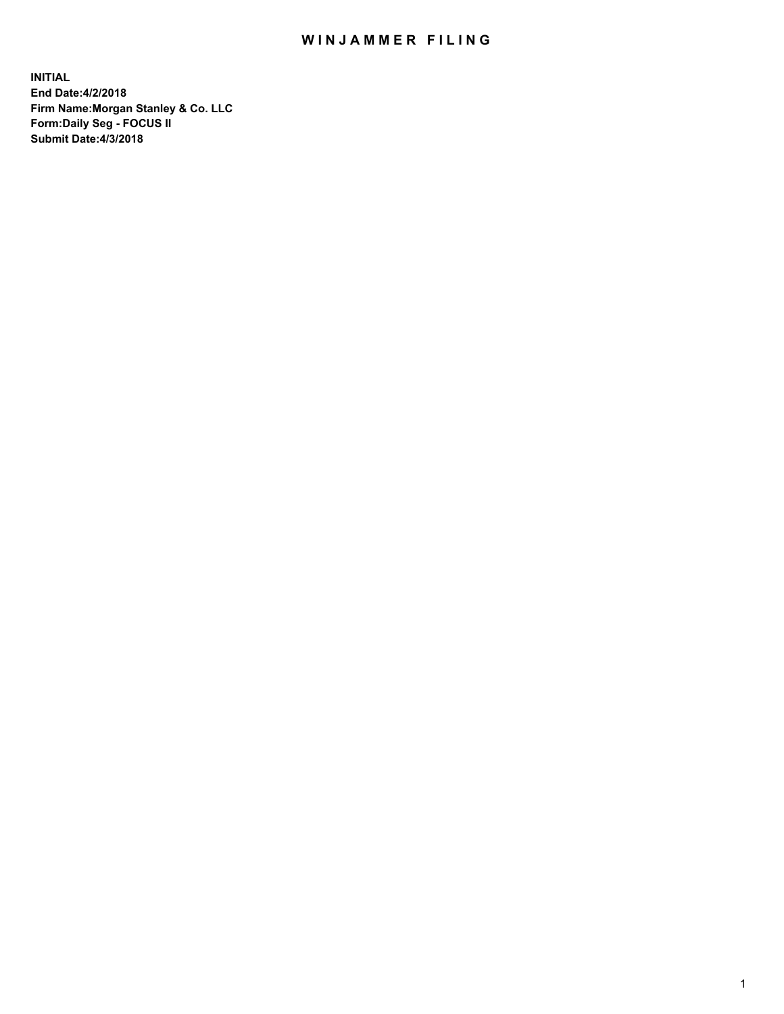# WIN JAMMER FILING

**INITIAL End Date:4/2/2018 Firm Name:Morgan Stanley & Co. LLC Form:Daily Seg - FOCUS II Submit Date:4/3/2018**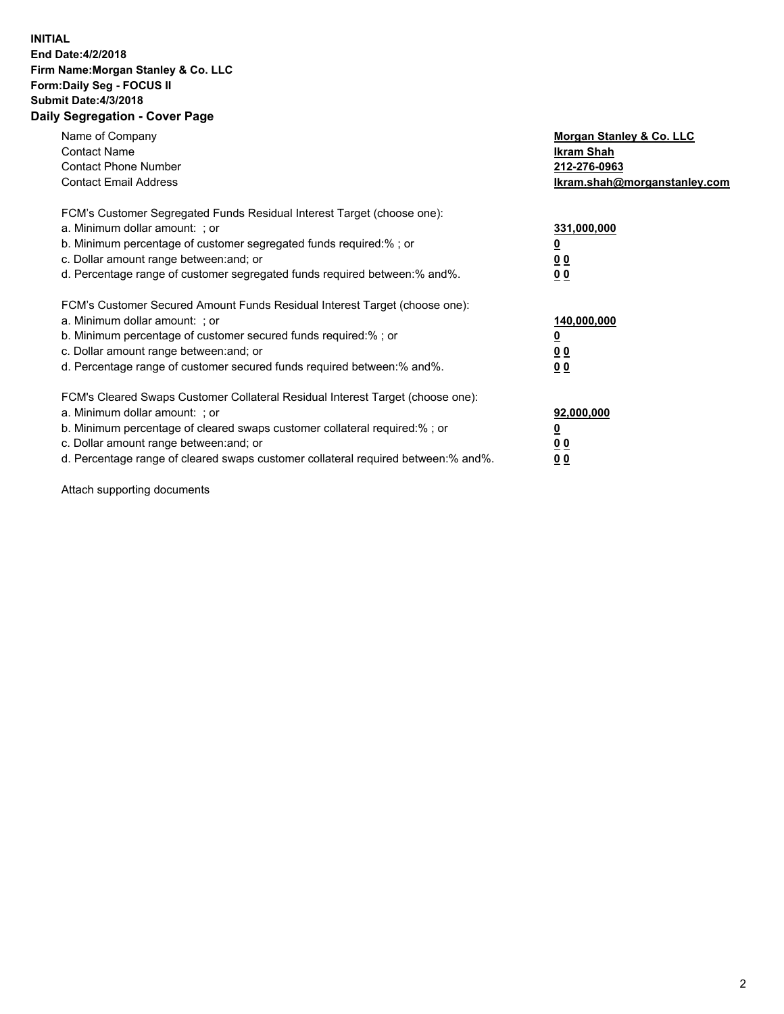### **INITIAL End Date:4/2/2018 Firm Name:Morgan Stanley & Co. LLC Form:Daily Seg - FOCUS II Submit Date:4/3/2018 Daily Segregation - Cover Page**

| Name of Company<br><b>Contact Name</b><br><b>Contact Phone Number</b><br><b>Contact Email Address</b>                                                                                                                                                                                                                          | Morgan Stanley & Co. LLC<br>Ikram Shah<br>212-276-0963<br>lkram.shah@morganstanley.com |
|--------------------------------------------------------------------------------------------------------------------------------------------------------------------------------------------------------------------------------------------------------------------------------------------------------------------------------|----------------------------------------------------------------------------------------|
| FCM's Customer Segregated Funds Residual Interest Target (choose one):<br>a. Minimum dollar amount: ; or<br>b. Minimum percentage of customer segregated funds required:%; or<br>c. Dollar amount range between: and; or<br>d. Percentage range of customer segregated funds required between: % and %.                        | 331,000,000<br>0 <sub>0</sub><br>00                                                    |
| FCM's Customer Secured Amount Funds Residual Interest Target (choose one):<br>a. Minimum dollar amount: ; or<br>b. Minimum percentage of customer secured funds required:%; or<br>c. Dollar amount range between: and; or<br>d. Percentage range of customer secured funds required between:% and%.                            | 140,000,000<br>0 <sub>0</sub><br>0 <sub>0</sub>                                        |
| FCM's Cleared Swaps Customer Collateral Residual Interest Target (choose one):<br>a. Minimum dollar amount: ; or<br>b. Minimum percentage of cleared swaps customer collateral required:% ; or<br>c. Dollar amount range between: and; or<br>d. Percentage range of cleared swaps customer collateral required between:% and%. | 92,000,000<br>0 <sub>0</sub><br>0 <sub>0</sub>                                         |

Attach supporting documents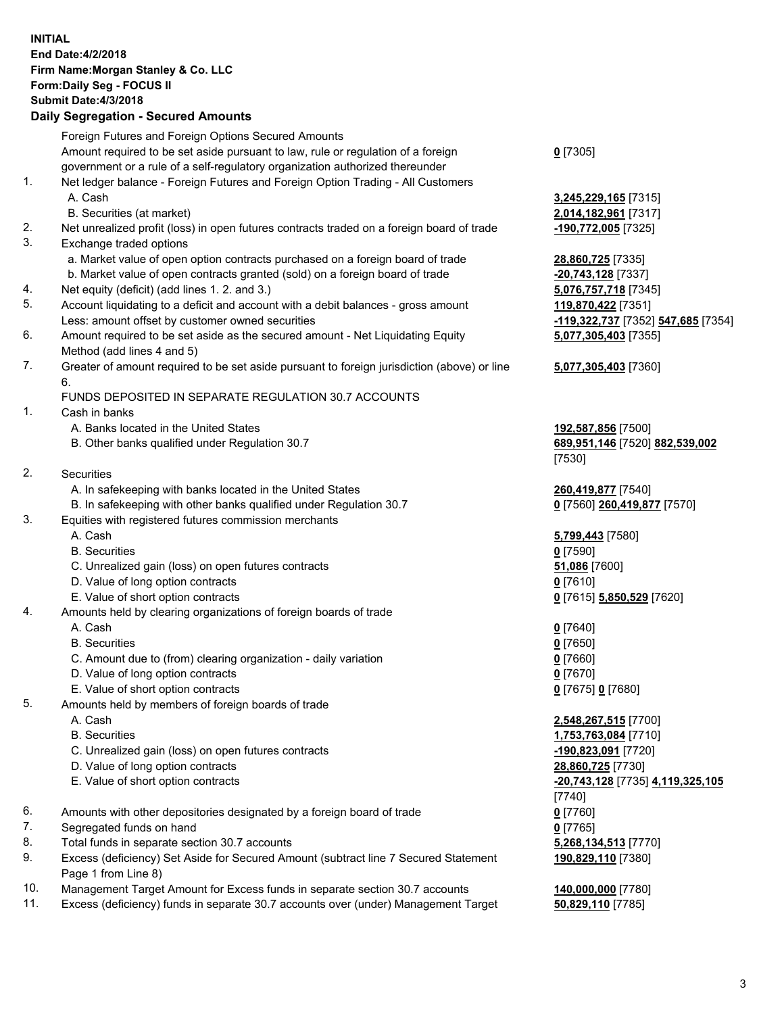#### **INITIAL End Date:4/2/2018 Firm Name:Morgan Stanley & Co. LLC Form:Daily Seg - FOCUS II Submit Date:4/3/2018 Daily Segregation - Secured Amounts**

# Foreign Futures and Foreign Options Secured Amounts Amount required to be set aside pursuant to law, rule or regulation of a foreign

- government or a rule of a self-regulatory organization authorized thereunder
- 1. Net ledger balance Foreign Futures and Foreign Option Trading All Customers A. Cash **3,245,229,165** [7315]
	- B. Securities (at market) **2,014,182,961** [7317]
- 2. Net unrealized profit (loss) in open futures contracts traded on a foreign board of trade **-190,772,005** [7325]
- 3. Exchange traded options
	- a. Market value of open option contracts purchased on a foreign board of trade **28,860,725** [7335]
	- b. Market value of open contracts granted (sold) on a foreign board of trade **-20,743,128** [7337]
- 4. Net equity (deficit) (add lines 1. 2. and 3.) **5,076,757,718** [7345]
- 5. Account liquidating to a deficit and account with a debit balances gross amount **119,870,422** [7351] Less: amount offset by customer owned securities **-119,322,737** [7352] **547,685** [7354]
- 6. Amount required to be set aside as the secured amount Net Liquidating Equity Method (add lines 4 and 5)
- 7. Greater of amount required to be set aside pursuant to foreign jurisdiction (above) or line 6.

# FUNDS DEPOSITED IN SEPARATE REGULATION 30.7 ACCOUNTS

- 1. Cash in banks
	- A. Banks located in the United States **192,587,856** [7500]
	- B. Other banks qualified under Regulation 30.7 **689,951,146** [7520] **882,539,002**
- 2. Securities
	- A. In safekeeping with banks located in the United States **260,419,877** [7540]
- B. In safekeeping with other banks qualified under Regulation 30.7 **0** [7560] **260,419,877** [7570]
- 3. Equities with registered futures commission merchants
	-
	-
	- C. Unrealized gain (loss) on open futures contracts **51,086** [7600]
	- D. Value of long option contracts **0** [7610]
	- E. Value of short option contracts **0** [7615] **5,850,529** [7620]
- 4. Amounts held by clearing organizations of foreign boards of trade
	-
	-
	- C. Amount due to (from) clearing organization daily variation **0** [7660]
	- D. Value of long option contracts **0** [7670]
	- E. Value of short option contracts **0** [7675] **0** [7680]
- 5. Amounts held by members of foreign boards of trade
	-
	-
	- C. Unrealized gain (loss) on open futures contracts **-190,823,091** [7720]
	- D. Value of long option contracts **28,860,725** [7730]
	-
- 6. Amounts with other depositories designated by a foreign board of trade **0** [7760]
- 7. Segregated funds on hand **0** [7765]
- 8. Total funds in separate section 30.7 accounts **5,268,134,513** [7770]
- 9. Excess (deficiency) Set Aside for Secured Amount (subtract line 7 Secured Statement Page 1 from Line 8)
- 10. Management Target Amount for Excess funds in separate section 30.7 accounts **140,000,000** [7780]
- 11. Excess (deficiency) funds in separate 30.7 accounts over (under) Management Target **50,829,110** [7785]

**0** [7305]

**5,077,305,403** [7355]

### **5,077,305,403** [7360]

[7530]

 A. Cash **5,799,443** [7580] B. Securities **0** [7590]

 A. Cash **0** [7640] B. Securities **0** [7650]

 A. Cash **2,548,267,515** [7700] B. Securities **1,753,763,084** [7710] E. Value of short option contracts **-20,743,128** [7735] **4,119,325,105** [7740] **190,829,110** [7380]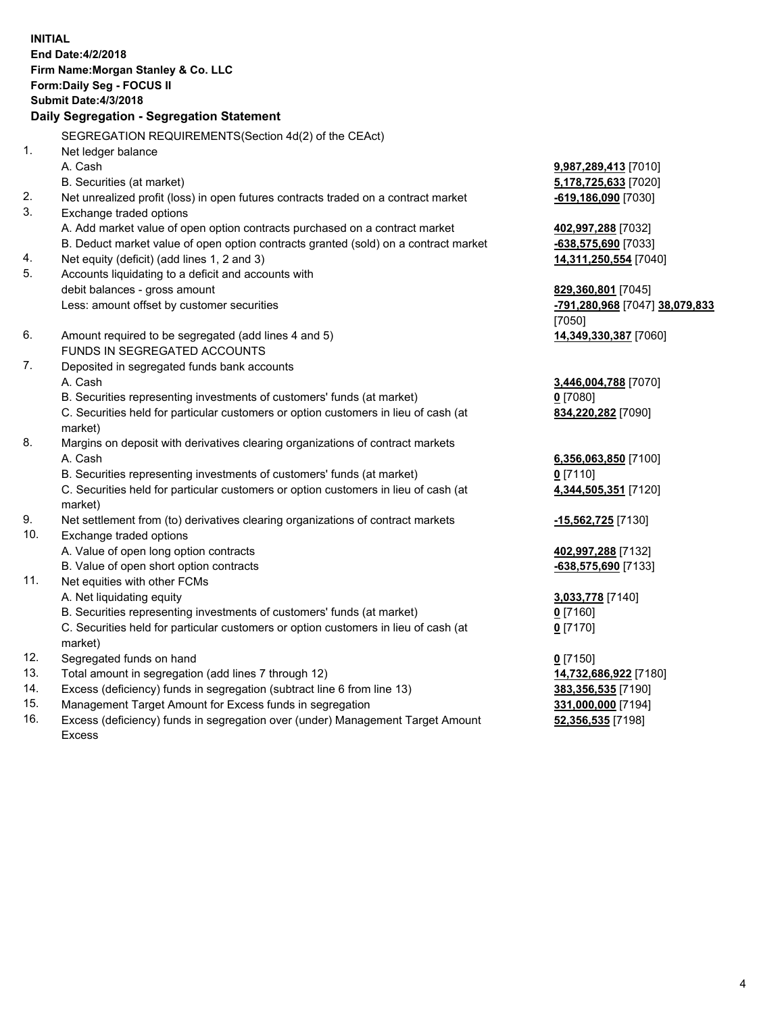**INITIAL End Date:4/2/2018 Firm Name:Morgan Stanley & Co. LLC Form:Daily Seg - FOCUS II Submit Date:4/3/2018 Daily Segregation - Segregation Statement** SEGREGATION REQUIREMENTS(Section 4d(2) of the CEAct) 1. Net ledger balance A. Cash **9,987,289,413** [7010] B. Securities (at market) **5,178,725,633** [7020] 2. Net unrealized profit (loss) in open futures contracts traded on a contract market **-619,186,090** [7030] 3. Exchange traded options A. Add market value of open option contracts purchased on a contract market **402,997,288** [7032] B. Deduct market value of open option contracts granted (sold) on a contract market **-638,575,690** [7033] 4. Net equity (deficit) (add lines 1, 2 and 3) **14,311,250,554** [7040] 5. Accounts liquidating to a deficit and accounts with debit balances - gross amount **829,360,801** [7045] Less: amount offset by customer securities **-791,280,968** [7047] **38,079,833** [7050] 6. Amount required to be segregated (add lines 4 and 5) **14,349,330,387** [7060] FUNDS IN SEGREGATED ACCOUNTS 7. Deposited in segregated funds bank accounts A. Cash **3,446,004,788** [7070] B. Securities representing investments of customers' funds (at market) **0** [7080] C. Securities held for particular customers or option customers in lieu of cash (at market) **834,220,282** [7090] 8. Margins on deposit with derivatives clearing organizations of contract markets A. Cash **6,356,063,850** [7100] B. Securities representing investments of customers' funds (at market) **0** [7110] C. Securities held for particular customers or option customers in lieu of cash (at market) **4,344,505,351** [7120] 9. Net settlement from (to) derivatives clearing organizations of contract markets **-15,562,725** [7130] 10. Exchange traded options A. Value of open long option contracts **402,997,288** [7132] B. Value of open short option contracts **-638,575,690** [7133] 11. Net equities with other FCMs A. Net liquidating equity **3,033,778** [7140] B. Securities representing investments of customers' funds (at market) **0** [7160] C. Securities held for particular customers or option customers in lieu of cash (at market) **0** [7170] 12. Segregated funds on hand **0** [7150] 13. Total amount in segregation (add lines 7 through 12) **14,732,686,922** [7180] 14. Excess (deficiency) funds in segregation (subtract line 6 from line 13) **383,356,535** [7190]

- 15. Management Target Amount for Excess funds in segregation **331,000,000** [7194]
- 16. Excess (deficiency) funds in segregation over (under) Management Target Amount Excess

**52,356,535** [7198]